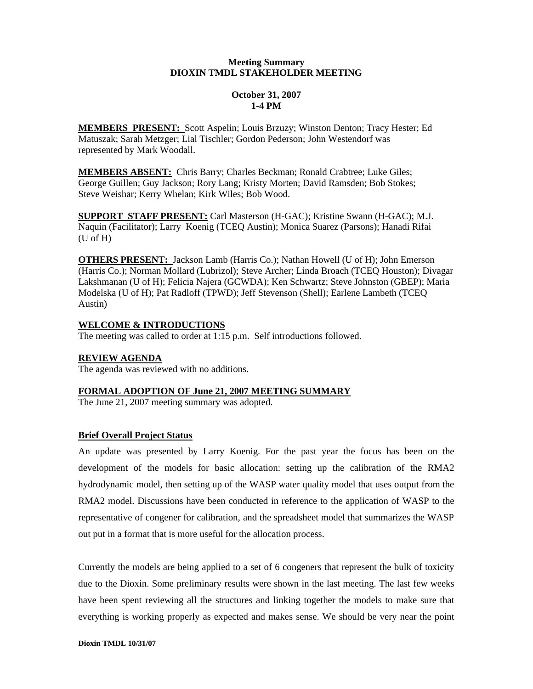#### **Meeting Summary DIOXIN TMDL STAKEHOLDER MEETING**

# **October 31, 2007 1-4 PM**

**MEMBERS PRESENT:** Scott Aspelin; Louis Brzuzy; Winston Denton; Tracy Hester; Ed Matuszak; Sarah Metzger; Lial Tischler; Gordon Pederson; John Westendorf was represented by Mark Woodall.

**MEMBERS ABSENT:** Chris Barry; Charles Beckman; Ronald Crabtree; Luke Giles; George Guillen; Guy Jackson; Rory Lang; Kristy Morten; David Ramsden; Bob Stokes; Steve Weishar; Kerry Whelan; Kirk Wiles; Bob Wood.

**SUPPORT STAFF PRESENT:** Carl Masterson (H-GAC); Kristine Swann (H-GAC); M.J. Naquin (Facilitator); Larry Koenig (TCEQ Austin); Monica Suarez (Parsons); Hanadi Rifai (U of H)

**OTHERS PRESENT:** Jackson Lamb (Harris Co.); Nathan Howell (U of H); John Emerson (Harris Co.); Norman Mollard (Lubrizol); Steve Archer; Linda Broach (TCEQ Houston); Divagar Lakshmanan (U of H); Felicia Najera (GCWDA); Ken Schwartz; Steve Johnston (GBEP); Maria Modelska (U of H); Pat Radloff (TPWD); Jeff Stevenson (Shell); Earlene Lambeth (TCEQ Austin)

# **WELCOME & INTRODUCTIONS**

The meeting was called to order at 1:15 p.m. Self introductions followed.

#### **REVIEW AGENDA**

The agenda was reviewed with no additions.

# **FORMAL ADOPTION OF June 21, 2007 MEETING SUMMARY**

The June 21, 2007 meeting summary was adopted.

# **Brief Overall Project Status**

An update was presented by Larry Koenig. For the past year the focus has been on the development of the models for basic allocation: setting up the calibration of the RMA2 hydrodynamic model, then setting up of the WASP water quality model that uses output from the RMA2 model. Discussions have been conducted in reference to the application of WASP to the representative of congener for calibration, and the spreadsheet model that summarizes the WASP out put in a format that is more useful for the allocation process.

Currently the models are being applied to a set of 6 congeners that represent the bulk of toxicity due to the Dioxin. Some preliminary results were shown in the last meeting. The last few weeks have been spent reviewing all the structures and linking together the models to make sure that everything is working properly as expected and makes sense. We should be very near the point